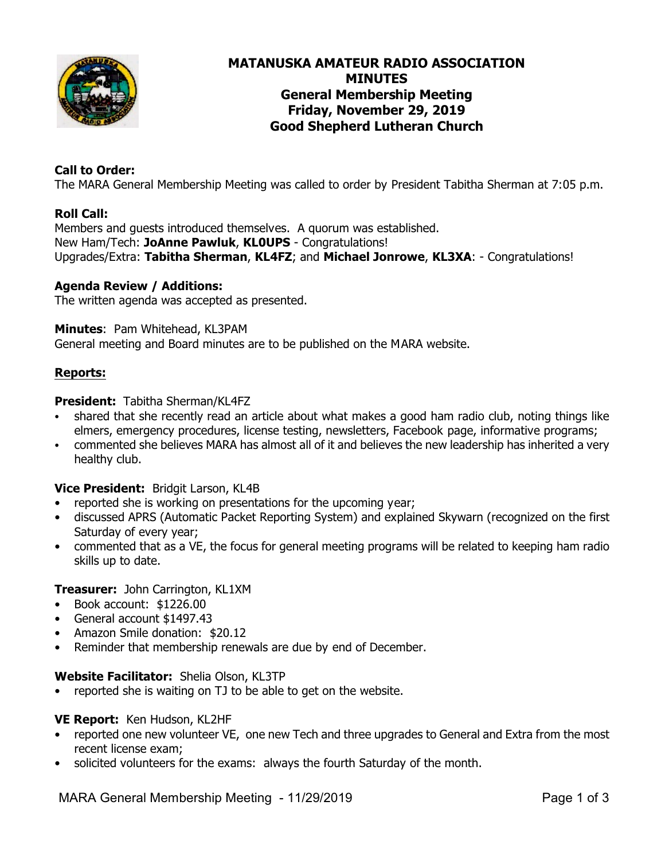

# **MATANUSKA AMATEUR RADIO ASSOCIATION MINUTES General Membership Meeting Friday, November 29, 2019 Good Shepherd Lutheran Church**

## **Call to Order:**

The MARA General Membership Meeting was called to order by President Tabitha Sherman at 7:05 p.m.

### **Roll Call:**

Members and guests introduced themselves. A quorum was established. New Ham/Tech: **JoAnne Pawluk**, **KL0UPS** - Congratulations! Upgrades/Extra: **Tabitha Sherman**, **KL4FZ**; and **Michael Jonrowe**, **KL3XA**: - Congratulations!

#### **Agenda Review / Additions:**

The written agenda was accepted as presented.

**Minutes**: Pam Whitehead, KL3PAM General meeting and Board minutes are to be published on the MARA website.

#### **Reports:**

#### **President:** Tabitha Sherman/KL4FZ

- shared that she recently read an article about what makes a good ham radio club, noting things like elmers, emergency procedures, license testing, newsletters, Facebook page, informative programs;
- commented she believes MARA has almost all of it and believes the new leadership has inherited a very healthy club.

### **Vice President:** Bridgit Larson, KL4B

- reported she is working on presentations for the upcoming year;
- discussed APRS (Automatic Packet Reporting System) and explained Skywarn (recognized on the first Saturday of every year;
- commented that as a VE, the focus for general meeting programs will be related to keeping ham radio skills up to date.

### **Treasurer:** John Carrington, KL1XM

- Book account: \$1226.00
- General account \$1497.43
- Amazon Smile donation: \$20.12
- Reminder that membership renewals are due by end of December.

#### **Website Facilitator:** Shelia Olson, KL3TP

• reported she is waiting on TJ to be able to get on the website.

#### **VE Report:** Ken Hudson, KL2HF

- reported one new volunteer VE, one new Tech and three upgrades to General and Extra from the most recent license exam;
- solicited volunteers for the exams: always the fourth Saturday of the month.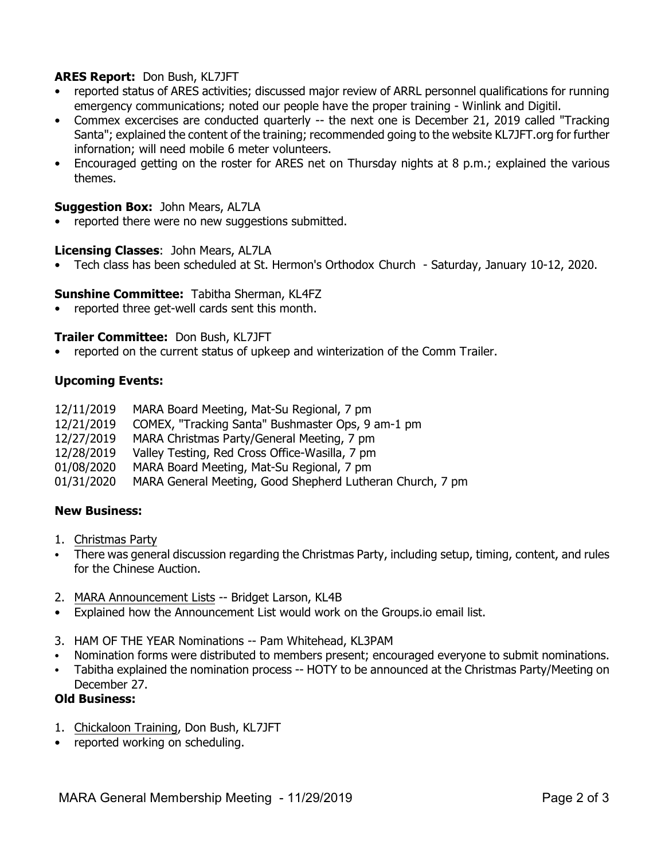## **ARES Report:** Don Bush, KL7JFT

- reported status of ARES activities; discussed major review of ARRL personnel qualifications for running emergency communications; noted our people have the proper training - Winlink and Digitil.
- Commex excercises are conducted quarterly -- the next one is December 21, 2019 called "Tracking Santa"; explained the content of the training; recommended going to the website KL7JFT.org for further infornation; will need mobile 6 meter volunteers.
- Encouraged getting on the roster for ARES net on Thursday nights at 8 p.m.; explained the various themes.

#### **Suggestion Box:** John Mears, AL7LA

• reported there were no new suggestions submitted.

#### **Licensing Classes**: John Mears, AL7LA

• Tech class has been scheduled at St. Hermon's Orthodox Church - Saturday, January 10-12, 2020.

#### **Sunshine Committee:** Tabitha Sherman, KL4FZ

• reported three get-well cards sent this month.

#### **Trailer Committee:** Don Bush, KL7JFT

• reported on the current status of upkeep and winterization of the Comm Trailer.

#### **Upcoming Events:**

- 12/11/2019 MARA Board Meeting, Mat-Su Regional, 7 pm
- 12/21/2019 COMEX, "Tracking Santa" Bushmaster Ops, 9 am-1 pm
- 12/27/2019 MARA Christmas Party/General Meeting, 7 pm
- 12/28/2019 Valley Testing, Red Cross Office-Wasilla, 7 pm
- 01/08/2020 MARA Board Meeting, Mat-Su Regional, 7 pm
- 01/31/2020 MARA General Meeting, Good Shepherd Lutheran Church, 7 pm

### **New Business:**

- 1. Christmas Party
- There was general discussion regarding the Christmas Party, including setup, timing, content, and rules for the Chinese Auction.
- 2. MARA Announcement Lists -- Bridget Larson, KL4B
- Explained how the Announcement List would work on the Groups.io email list.
- 3. HAM OF THE YEAR Nominations -- Pam Whitehead, KL3PAM
- Nomination forms were distributed to members present; encouraged everyone to submit nominations.
- Tabitha explained the nomination process -- HOTY to be announced at the Christmas Party/Meeting on December 27.

#### **Old Business:**

- 1. Chickaloon Training, Don Bush, KL7JFT
- reported working on scheduling.